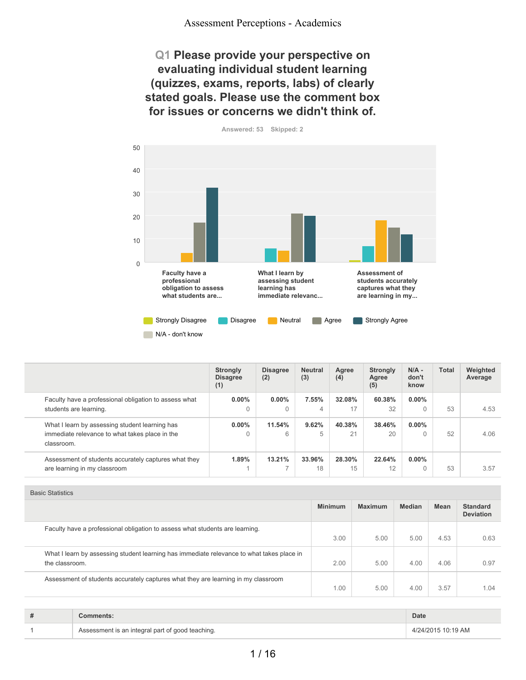## **Q1 Please provide your perspective on evaluating individual student learning (quizzes, exams, reports, labs) of clearly stated goals. Please use the comment box for issues or concerns we didn't think of.**





|                                                              | <b>Strongly</b><br><b>Disagree</b><br>(1) | <b>Disagree</b><br>(2) | <b>Neutral</b><br>(3) | Agree<br>(4) | <b>Strongly</b><br>Agree<br>(5) | $N/A -$<br>don't<br>know | <b>Total</b> | Weighted<br>Average |
|--------------------------------------------------------------|-------------------------------------------|------------------------|-----------------------|--------------|---------------------------------|--------------------------|--------------|---------------------|
| Faculty have a professional obligation to assess what        | $0.00\%$                                  | $0.00\%$               | 7.55%                 | 32.08%       | 60.38%                          | $0.00\%$                 |              |                     |
| students are learning.                                       | $\Omega$                                  | $\Omega$               | 4                     | 17           | 32                              |                          | 53           | 4.53                |
| What I learn by assessing student learning has               | $0.00\%$                                  | 11.54%                 | 9.62%                 | 40.38%       | 38.46%                          | $0.00\%$                 |              |                     |
| immediate relevance to what takes place in the<br>classroom. | $\Omega$                                  | 6                      | 5                     | 21           | 20                              |                          | 52           | 4.06                |
| Assessment of students accurately captures what they         | 1.89%                                     | 13.21%                 | 33.96%                | 28.30%       | 22.64%                          | $0.00\%$                 |              |                     |
| are learning in my classroom                                 |                                           | -                      | 18                    | 15           | 12                              |                          | 53           | 3.57                |

| ------------                                                                                                |                |                |               |      |                                     |
|-------------------------------------------------------------------------------------------------------------|----------------|----------------|---------------|------|-------------------------------------|
|                                                                                                             | <b>Minimum</b> | <b>Maximum</b> | <b>Median</b> | Mean | <b>Standard</b><br><b>Deviation</b> |
| Faculty have a professional obligation to assess what students are learning.                                | 3.00           | 5.00           | 5.00          | 4.53 | 0.63                                |
| What I learn by assessing student learning has immediate relevance to what takes place in<br>the classroom. | 2.00           | 5.00           | 4.00          | 4.06 | 0.97                                |
| Assessment of students accurately captures what they are learning in my classroom                           | 1.00           | 5.00           | 4.00          | 3.57 | 1.04                                |

| # | `omments:                                        | <b>Date</b>        |
|---|--------------------------------------------------|--------------------|
|   | Assessment is an integral part of good teaching. | 4/24/2015 10:19 AM |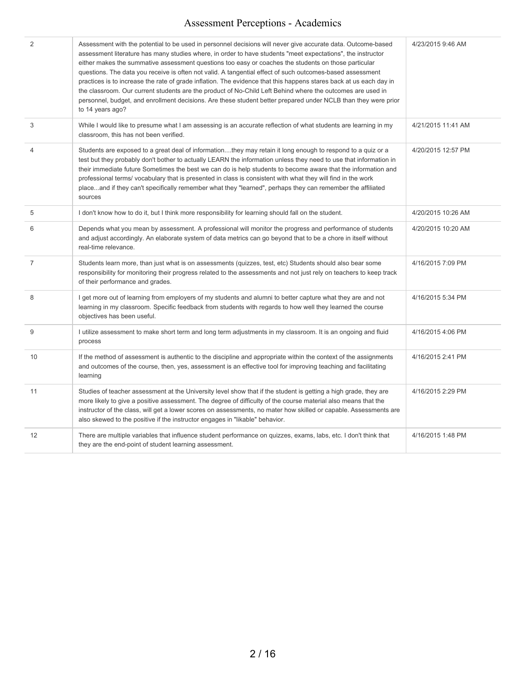| 2              | Assessment with the potential to be used in personnel decisions will never give accurate data. Outcome-based<br>assessment literature has many studies where, in order to have students "meet expectations", the instructor<br>either makes the summative assessment questions too easy or coaches the students on those particular<br>questions. The data you receive is often not valid. A tangential effect of such outcomes-based assessment<br>practices is to increase the rate of grade inflation. The evidence that this happens stares back at us each day in<br>the classroom. Our current students are the product of No-Child Left Behind where the outcomes are used in<br>personnel, budget, and enrollment decisions. Are these student better prepared under NCLB than they were prior<br>to 14 years ago? | 4/23/2015 9:46 AM  |
|----------------|----------------------------------------------------------------------------------------------------------------------------------------------------------------------------------------------------------------------------------------------------------------------------------------------------------------------------------------------------------------------------------------------------------------------------------------------------------------------------------------------------------------------------------------------------------------------------------------------------------------------------------------------------------------------------------------------------------------------------------------------------------------------------------------------------------------------------|--------------------|
| 3              | While I would like to presume what I am assessing is an accurate reflection of what students are learning in my<br>classroom, this has not been verified.                                                                                                                                                                                                                                                                                                                                                                                                                                                                                                                                                                                                                                                                  | 4/21/2015 11:41 AM |
| 4              | Students are exposed to a great deal of informationthey may retain it long enough to respond to a quiz or a<br>test but they probably don't bother to actually LEARN the information unless they need to use that information in<br>their immediate future Sometimes the best we can do is help students to become aware that the information and<br>professional terms/vocabulary that is presented in class is consistent with what they will find in the work<br>placeand if they can't specifically remember what they "learned", perhaps they can remember the affiliated<br>sources                                                                                                                                                                                                                                  | 4/20/2015 12:57 PM |
| 5              | I don't know how to do it, but I think more responsibility for learning should fall on the student.                                                                                                                                                                                                                                                                                                                                                                                                                                                                                                                                                                                                                                                                                                                        | 4/20/2015 10:26 AM |
| 6              | Depends what you mean by assessment. A professional will monitor the progress and performance of students<br>and adjust accordingly. An elaborate system of data metrics can go beyond that to be a chore in itself without<br>real-time relevance.                                                                                                                                                                                                                                                                                                                                                                                                                                                                                                                                                                        | 4/20/2015 10:20 AM |
| $\overline{7}$ | Students learn more, than just what is on assessments (quizzes, test, etc) Students should also bear some<br>responsibility for monitoring their progress related to the assessments and not just rely on teachers to keep track<br>of their performance and grades.                                                                                                                                                                                                                                                                                                                                                                                                                                                                                                                                                       | 4/16/2015 7:09 PM  |
| 8              | I get more out of learning from employers of my students and alumni to better capture what they are and not<br>learning in my classroom. Specific feedback from students with regards to how well they learned the course<br>objectives has been useful.                                                                                                                                                                                                                                                                                                                                                                                                                                                                                                                                                                   | 4/16/2015 5:34 PM  |
| 9              | I utilize assessment to make short term and long term adjustments in my classroom. It is an ongoing and fluid<br>process                                                                                                                                                                                                                                                                                                                                                                                                                                                                                                                                                                                                                                                                                                   | 4/16/2015 4:06 PM  |
| 10             | If the method of assessment is authentic to the discipline and appropriate within the context of the assignments<br>and outcomes of the course, then, yes, assessment is an effective tool for improving teaching and facilitating<br>learning                                                                                                                                                                                                                                                                                                                                                                                                                                                                                                                                                                             | 4/16/2015 2:41 PM  |
| 11             | Studies of teacher assessment at the University level show that if the student is getting a high grade, they are<br>more likely to give a positive assessment. The degree of difficulty of the course material also means that the<br>instructor of the class, will get a lower scores on assessments, no mater how skilled or capable. Assessments are<br>also skewed to the positive if the instructor engages in "likable" behavior.                                                                                                                                                                                                                                                                                                                                                                                    | 4/16/2015 2:29 PM  |
| 12             | There are multiple variables that influence student performance on quizzes, exams, labs, etc. I don't think that<br>they are the end-point of student learning assessment.                                                                                                                                                                                                                                                                                                                                                                                                                                                                                                                                                                                                                                                 | 4/16/2015 1:48 PM  |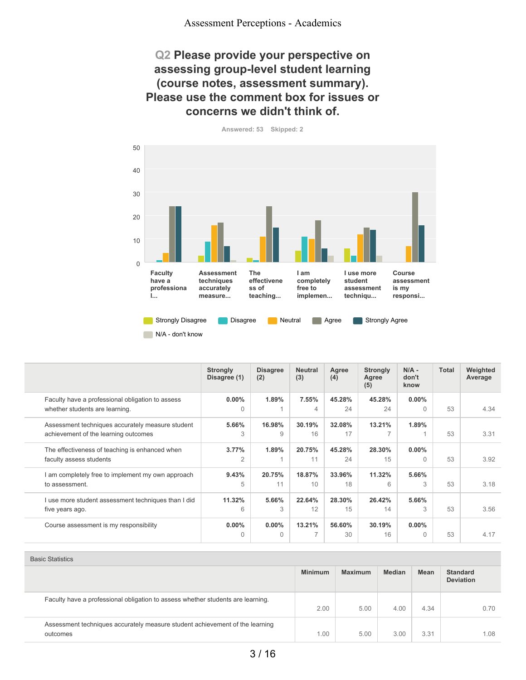## **Q2 Please provide your perspective on assessing group-level student learning (course notes, assessment summary). Please use the comment box for issues or concerns we didn't think of.**



**Answered: 53 Skipped: 2**

|                                                                                          | <b>Strongly</b><br>Disagree (1) | <b>Disagree</b><br>(2) | <b>Neutral</b><br>(3)              | Agree<br>(4) | <b>Strongly</b><br>Agree<br>(5) | $N/A -$<br>don't<br>know | <b>Total</b> | Weighted<br>Average |
|------------------------------------------------------------------------------------------|---------------------------------|------------------------|------------------------------------|--------------|---------------------------------|--------------------------|--------------|---------------------|
| Faculty have a professional obligation to assess<br>whether students are learning.       | $0.00\%$<br>$\Omega$            | 1.89%                  | 7.55%<br>4                         | 45.28%<br>24 | 45.28%<br>24                    | $0.00\%$<br>0            | 53           | 4.34                |
| Assessment techniques accurately measure student<br>achievement of the learning outcomes | 5.66%<br>3                      | 16.98%<br>9            | 30.19%<br>16                       | 32.08%<br>17 | 13.21%                          | 1.89%                    | 53           | 3.31                |
| The effectiveness of teaching is enhanced when<br>faculty assess students                | 3.77%<br>2                      | 1.89%                  | 20.75%<br>11                       | 45.28%<br>24 | 28.30%<br>15                    | $0.00\%$<br>$\Omega$     | 53           | 3.92                |
| am completely free to implement my own approach<br>to assessment.                        | 9.43%<br>5                      | 20.75%<br>11           | 18.87%<br>10                       | 33.96%<br>18 | 11.32%<br>6                     | 5.66%<br>3               | 53           | 3.18                |
| I use more student assessment techniques than I did<br>five years ago.                   | 11.32%<br>6                     | 5.66%<br>3             | 22.64%<br>12                       | 28.30%<br>15 | 26.42%<br>14                    | 5.66%<br>3               | 53           | 3.56                |
| Course assessment is my responsibility                                                   | $0.00\%$<br>$\Omega$            | $0.00\%$<br>$\Omega$   | 13.21%<br>$\overline{\phantom{a}}$ | 56.60%<br>30 | 30.19%<br>16                    | $0.00\%$<br>$\cap$       | 53           | 4.17                |

|                                                                                          | <b>Minimum</b> | <b>Maximum</b> | <b>Median</b> | <b>Mean</b> | <b>Standard</b><br><b>Deviation</b> |
|------------------------------------------------------------------------------------------|----------------|----------------|---------------|-------------|-------------------------------------|
| Faculty have a professional obligation to assess whether students are learning.          | 2.00           | 5.00           | 4.00          | 4.34        | 0.70                                |
| Assessment techniques accurately measure student achievement of the learning<br>outcomes | 1.00           | 5.00           | 3.00          | 3.31        | 1.08                                |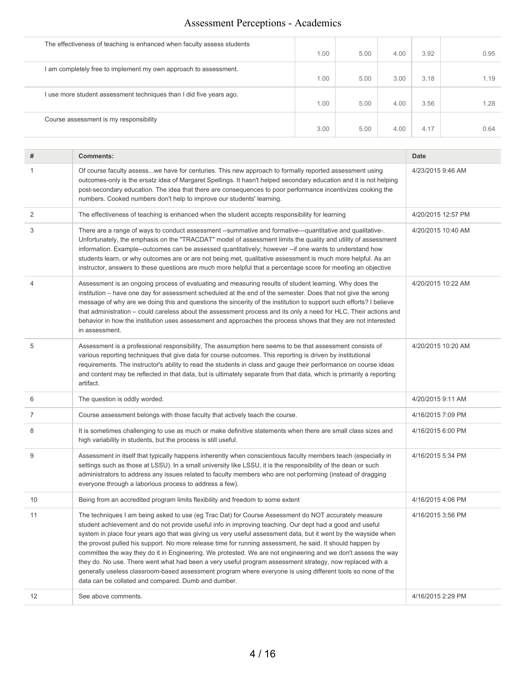| The effectiveness of teaching is enhanced when faculty assess students |      |      |      |      |      |
|------------------------------------------------------------------------|------|------|------|------|------|
|                                                                        | 1.00 | 5.00 | 4.00 | 3.92 | 0.95 |
| am completely free to implement my own approach to assessment.         |      |      |      |      |      |
|                                                                        | 1.00 | 5.00 | 3.00 | 3.18 | 1.19 |
| use more student assessment techniques than I did five years ago.      |      |      |      |      |      |
|                                                                        | 1.00 | 5.00 | 4.00 | 3.56 | 1.28 |
| Course assessment is my responsibility                                 |      |      |      |      |      |
|                                                                        | 3.00 | 5.00 | 4.00 | 4.17 | 0.64 |
|                                                                        |      |      |      |      |      |

 $\overline{\phantom{a}}$ 

| #  | <b>Comments:</b>                                                                                                                                                                                                                                                                                                                                                                                                                                                                                                                                                                                                                                                                                                                                                                                                                                   | Date               |
|----|----------------------------------------------------------------------------------------------------------------------------------------------------------------------------------------------------------------------------------------------------------------------------------------------------------------------------------------------------------------------------------------------------------------------------------------------------------------------------------------------------------------------------------------------------------------------------------------------------------------------------------------------------------------------------------------------------------------------------------------------------------------------------------------------------------------------------------------------------|--------------------|
| 1  | Of course faculty assesswe have for centuries. This new approach to formally reported assessment using<br>outcomes-only is the ersatz idea of Margaret Spellings. It hasn't helped secondary education and it is not helping<br>post-secondary education. The idea that there are consequences to poor performance incentivizes cooking the<br>numbers. Cooked numbers don't help to improve our students' learning.                                                                                                                                                                                                                                                                                                                                                                                                                               | 4/23/2015 9:46 AM  |
| 2  | The effectiveness of teaching is enhanced when the student accepts responsibility for learning                                                                                                                                                                                                                                                                                                                                                                                                                                                                                                                                                                                                                                                                                                                                                     | 4/20/2015 12:57 PM |
| 3  | There are a range of ways to conduct assessment --summative and formative---quantitative and qualitative-.<br>Unfortunately, the emphasis on the "TRACDAT" model of assessment limits the quality and utility of assessment<br>information. Example--outcomes can be assessed quantitatively; however --if one wants to understand how<br>students learn, or why outcomes are or are not being met, qualitative assessment is much more helpful. As an<br>instructor, answers to these questions are much more helpful that a percentage score for meeting an objective                                                                                                                                                                                                                                                                            | 4/20/2015 10:40 AM |
| 4  | Assessment is an ongoing process of evaluating and measuring results of student learning. Why does the<br>institution - have one day for assessment scheduled at the end of the semester. Does that not give the wrong<br>message of why are we doing this and questions the sincerity of the institution to support such efforts? I believe<br>that administration - could careless about the assessment process and its only a need for HLC. Their actions and<br>behavior in how the institution uses assessment and approaches the process shows that they are not interested<br>in assessment.                                                                                                                                                                                                                                                | 4/20/2015 10:22 AM |
| 5  | Assessment is a professional responsibility, The assumption here seems to be that assessment consists of<br>various reporting techniques that give data for course outcomes. This reporting is driven by institutional<br>requirements. The instructor's ability to read the students in class and gauge their performance on course ideas<br>and content may be reflected in that data, but is ultimately separate from that data, which is primarily a reporting<br>artifact.                                                                                                                                                                                                                                                                                                                                                                    | 4/20/2015 10:20 AM |
| 6  | The question is oddly worded.                                                                                                                                                                                                                                                                                                                                                                                                                                                                                                                                                                                                                                                                                                                                                                                                                      | 4/20/2015 9:11 AM  |
| 7  | Course assessment belongs with those faculty that actively teach the course.                                                                                                                                                                                                                                                                                                                                                                                                                                                                                                                                                                                                                                                                                                                                                                       | 4/16/2015 7:09 PM  |
| 8  | It is sometimes challenging to use as much or make definitive statements when there are small class sizes and<br>high variability in students, but the process is still useful.                                                                                                                                                                                                                                                                                                                                                                                                                                                                                                                                                                                                                                                                    | 4/16/2015 6:00 PM  |
| 9  | Assessment in itself that typically happens inherently when conscientious faculty members teach (especially in<br>settings such as those at LSSU). In a small university like LSSU, it is the responsibility of the dean or such<br>administrators to address any issues related to faculty members who are not performing (instead of dragging<br>everyone through a laborious process to address a few).                                                                                                                                                                                                                                                                                                                                                                                                                                         | 4/16/2015 5:34 PM  |
| 10 | Being from an accredited program limits flexibility and freedom to some extent                                                                                                                                                                                                                                                                                                                                                                                                                                                                                                                                                                                                                                                                                                                                                                     | 4/16/2015 4:06 PM  |
| 11 | The techniques I am being asked to use (eg Trac Dat) for Course Assessment do NOT accurately measure<br>student achievement and do not provide useful info in improving teaching. Our dept had a good and useful<br>system in place four years ago that was giving us very useful assessment data, but it went by the wayside when<br>the provost pulled his support. No more release time for running assessment, he said. It should happen by<br>committee the way they do it in Engineering. We protested. We are not engineering and we don't assess the way<br>they do. No use. There went what had been a very useful program assessment strategy, now replaced with a<br>generally useless classroom-based assessment program where everyone is using different tools so none of the<br>data can be collated and compared. Dumb and dumber. | 4/16/2015 3:56 PM  |
| 12 | See above comments.                                                                                                                                                                                                                                                                                                                                                                                                                                                                                                                                                                                                                                                                                                                                                                                                                                | 4/16/2015 2:29 PM  |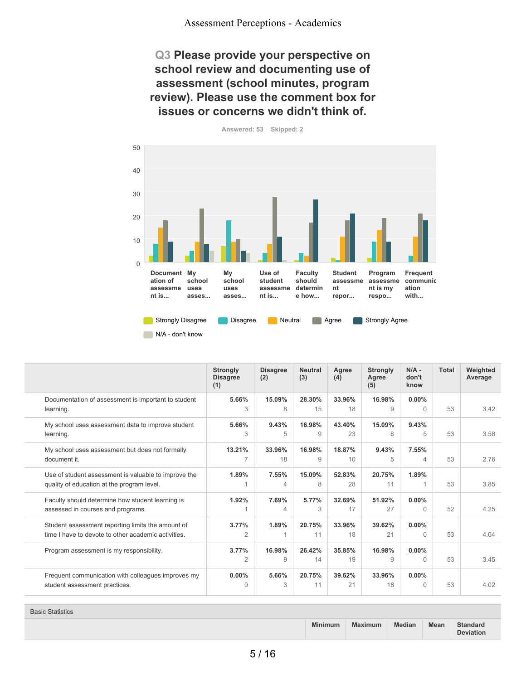## **Q3 Please provide your perspective on school review and documenting use of assessment (school minutes, program review). Please use the comment box for issues or concerns we didn't think of.**



**Answered: 53 Skipped: 2**

|                                                                                                          | <b>Strongly</b><br><b>Disagree</b><br>(1) | <b>Disagree</b><br>(2) | <b>Neutral</b><br>(3) | Agree<br>(4) | <b>Strongly</b><br>Agree<br>(5) | $N/A$ -<br>don't<br>know | <b>Total</b> | Weighted<br>Average |
|----------------------------------------------------------------------------------------------------------|-------------------------------------------|------------------------|-----------------------|--------------|---------------------------------|--------------------------|--------------|---------------------|
| Documentation of assessment is important to student<br>learning.                                         | 5.66%<br>3                                | 15.09%<br>8            | 28.30%<br>15          | 33.96%<br>18 | 16.98%<br>9                     | $0.00\%$<br>$\cap$       | 53           | 3.42                |
| My school uses assessment data to improve student<br>learning.                                           | 5.66%<br>3                                | 9.43%<br>5             | 16.98%<br>9           | 43.40%<br>23 | 15.09%<br>8                     | 9.43%<br>5               | 53           | 3.58                |
| My school uses assessment but does not formally<br>document it.                                          | 13.21%<br>7                               | 33.96%<br>18           | 16.98%<br>9           | 18.87%<br>10 | 9.43%<br>5                      | 7.55%<br>4               | 53           | 2.76                |
| Use of student assessment is valuable to improve the<br>quality of education at the program level.       | 1.89%                                     | 7.55%<br>4             | 15.09%<br>8           | 52.83%<br>28 | 20.75%<br>11                    | 1.89%                    | 53           | 3.85                |
| Faculty should determine how student learning is<br>assessed in courses and programs.                    | 1.92%                                     | 7.69%<br>4             | 5.77%<br>3            | 32.69%<br>17 | 51.92%<br>27                    | $0.00\%$<br><sup>n</sup> | 52           | 4.25                |
| Student assessment reporting limits the amount of<br>time I have to devote to other academic activities. | 3.77%<br>$\overline{2}$                   | 1.89%                  | 20.75%<br>11          | 33.96%<br>18 | 39.62%<br>21                    | $0.00\%$<br>$\cap$       | 53           | 4.04                |
| Program assessment is my responsibility.                                                                 | 3.77%<br>$\overline{2}$                   | 16.98%<br>9            | 26.42%<br>14          | 35.85%<br>19 | 16.98%<br>9                     | $0.00\%$<br><sup>n</sup> | 53           | 3.45                |
| Frequent communication with colleagues improves my<br>student assessment practices.                      | $0.00\%$<br>$\Omega$                      | 5.66%<br>3             | 20.75%<br>11          | 39.62%<br>21 | 33.96%<br>18                    | $0.00\%$<br>$\Omega$     | 53           | 4.02                |

Basic Statistics

**Minimum Maximum Median Mean Standard Deviation**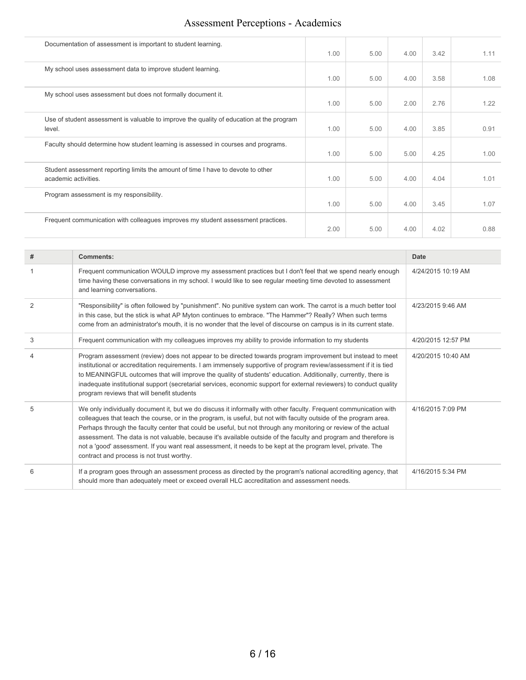| Documentation of assessment is important to student learning.                                            | 1.00 | 5.00 | 4.00 | 3.42 | 1.11 |
|----------------------------------------------------------------------------------------------------------|------|------|------|------|------|
| My school uses assessment data to improve student learning.                                              | 1.00 | 5.00 | 4.00 | 3.58 | 1.08 |
| My school uses assessment but does not formally document it.                                             | 1.00 | 5.00 | 2.00 | 2.76 | 1.22 |
| Use of student assessment is valuable to improve the quality of education at the program<br>level.       | 1.00 | 5.00 | 4.00 | 3.85 | 0.91 |
| Faculty should determine how student learning is assessed in courses and programs.                       | 1.00 | 5.00 | 5.00 | 4.25 | 1.00 |
| Student assessment reporting limits the amount of time I have to devote to other<br>academic activities. | 1.00 | 5.00 | 4.00 | 4.04 | 1.01 |
| Program assessment is my responsibility.                                                                 | 1.00 | 5.00 | 4.00 | 3.45 | 1.07 |
| Frequent communication with colleagues improves my student assessment practices.                         | 2.00 | 5.00 | 4.00 | 4.02 | 0.88 |

| #              | Comments:                                                                                                                                                                                                                                                                                                                                                                                                                                                                                                                                                                                                                                  | Date               |
|----------------|--------------------------------------------------------------------------------------------------------------------------------------------------------------------------------------------------------------------------------------------------------------------------------------------------------------------------------------------------------------------------------------------------------------------------------------------------------------------------------------------------------------------------------------------------------------------------------------------------------------------------------------------|--------------------|
|                | Frequent communication WOULD improve my assessment practices but I don't feel that we spend nearly enough<br>time having these conversations in my school. I would like to see regular meeting time devoted to assessment<br>and learning conversations.                                                                                                                                                                                                                                                                                                                                                                                   | 4/24/2015 10:19 AM |
| $\overline{2}$ | "Responsibility" is often followed by "punishment". No punitive system can work. The carrot is a much better tool<br>in this case, but the stick is what AP Myton continues to embrace. "The Hammer"? Really? When such terms<br>come from an administrator's mouth, it is no wonder that the level of discourse on campus is in its current state.                                                                                                                                                                                                                                                                                        | 4/23/2015 9:46 AM  |
| 3              | Frequent communication with my colleagues improves my ability to provide information to my students                                                                                                                                                                                                                                                                                                                                                                                                                                                                                                                                        | 4/20/2015 12:57 PM |
|                | Program assessment (review) does not appear to be directed towards program improvement but instead to meet<br>institutional or accreditation requirements. I am immensely supportive of program review/assessment if it is tied<br>to MEANINGFUL outcomes that will improve the quality of students' education. Additionally, currently, there is<br>inadequate institutional support (secretarial services, economic support for external reviewers) to conduct quality<br>program reviews that will benefit students                                                                                                                     | 4/20/2015 10:40 AM |
| 5              | We only individually document it, but we do discuss it informally with other faculty. Frequent communication with<br>colleagues that teach the course, or in the program, is useful, but not with faculty outside of the program area.<br>Perhaps through the faculty center that could be useful, but not through any monitoring or review of the actual<br>assessment. The data is not valuable, because it's available outside of the faculty and program and therefore is<br>not a 'good' assessment. If you want real assessment, it needs to be kept at the program level, private. The<br>contract and process is not trust worthy. | 4/16/2015 7:09 PM  |
| 6              | If a program goes through an assessment process as directed by the program's national accrediting agency, that<br>should more than adequately meet or exceed overall HLC accreditation and assessment needs.                                                                                                                                                                                                                                                                                                                                                                                                                               | 4/16/2015 5:34 PM  |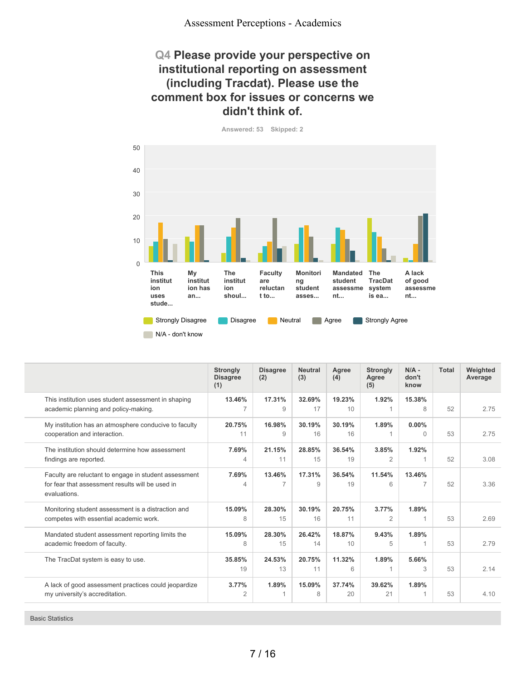## **Q4 Please provide your perspective on institutional reporting on assessment (including Tracdat). Please use the comment box for issues or concerns we didn't think of.**

**Answered: 53 Skipped: 2**



|                                                                                                                           | <b>Strongly</b><br><b>Disagree</b><br>(1) | <b>Disagree</b><br>(2)   | <b>Neutral</b><br>(3) | Agree<br>(4) | <b>Strongly</b><br>Agree<br>(5) | $N/A$ -<br>don't<br>know | <b>Total</b> | Weighted<br>Average |
|---------------------------------------------------------------------------------------------------------------------------|-------------------------------------------|--------------------------|-----------------------|--------------|---------------------------------|--------------------------|--------------|---------------------|
| This institution uses student assessment in shaping<br>academic planning and policy-making.                               | 13.46%                                    | 17.31%<br>9              | 32.69%<br>17          | 19.23%<br>10 | 1.92%                           | 15.38%<br>8              | 52           | 2.75                |
| My institution has an atmosphere conducive to faculty<br>cooperation and interaction.                                     | 20.75%<br>11                              | 16.98%<br>9              | 30.19%<br>16          | 30.19%<br>16 | 1.89%                           | $0.00\%$<br>$\Omega$     | 53           | 2.75                |
| The institution should determine how assessment<br>findings are reported.                                                 | 7.69%<br>$\overline{4}$                   | 21.15%<br>11             | 28.85%<br>15          | 36.54%<br>19 | 3.85%<br>$\overline{2}$         | 1.92%                    | 52           | 3.08                |
| Faculty are reluctant to engage in student assessment<br>for fear that assessment results will be used in<br>evaluations. | 7.69%<br>4                                | 13.46%<br>$\overline{7}$ | 17.31%<br>9           | 36.54%<br>19 | 11.54%<br>6                     | 13.46%<br>$\overline{7}$ | 52           | 3.36                |
| Monitoring student assessment is a distraction and<br>competes with essential academic work.                              | 15.09%<br>8                               | 28.30%<br>15             | 30.19%<br>16          | 20.75%<br>11 | 3.77%<br>$\overline{2}$         | 1.89%                    | 53           | 2.69                |
| Mandated student assessment reporting limits the<br>academic freedom of faculty.                                          | 15.09%<br>8                               | 28.30%<br>15             | 26.42%<br>14          | 18.87%<br>10 | 9.43%<br>5                      | 1.89%                    | 53           | 2.79                |
| The TracDat system is easy to use.                                                                                        | 35.85%<br>19                              | 24.53%<br>13             | 20.75%<br>11          | 11.32%<br>6  | 1.89%                           | 5.66%<br>3               | 53           | 2.14                |
| A lack of good assessment practices could jeopardize<br>my university's accreditation.                                    | 3.77%<br>$\overline{2}$                   | 1.89%                    | 15.09%<br>8           | 37.74%<br>20 | 39.62%<br>21                    | 1.89%                    | 53           | 4.10                |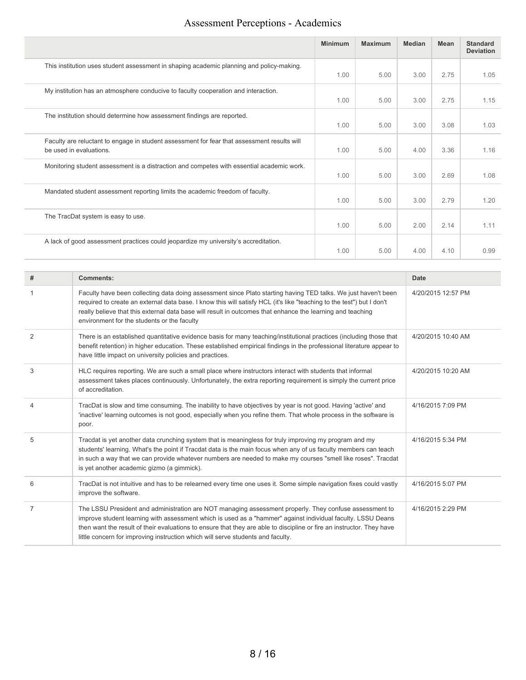|                                                                                                                        | <b>Minimum</b> | <b>Maximum</b> | <b>Median</b> | Mean | <b>Standard</b><br><b>Deviation</b> |
|------------------------------------------------------------------------------------------------------------------------|----------------|----------------|---------------|------|-------------------------------------|
| This institution uses student assessment in shaping academic planning and policy-making.                               | 1.00           | 5.00           | 3.00          | 2.75 | 1.05                                |
| My institution has an atmosphere conducive to faculty cooperation and interaction.                                     | 1.00           | 5.00           | 3.00          | 2.75 | 1.15                                |
| The institution should determine how assessment findings are reported.                                                 | 1.00           | 5.00           | 3.00          | 3.08 | 1.03                                |
| Faculty are reluctant to engage in student assessment for fear that assessment results will<br>be used in evaluations. | 1.00           | 5.00           | 4.00          | 3.36 | 1.16                                |
| Monitoring student assessment is a distraction and competes with essential academic work.                              | 1.00           | 5.00           | 3.00          | 2.69 | 1.08                                |
| Mandated student assessment reporting limits the academic freedom of faculty.                                          | 1.00           | 5.00           | 3.00          | 2.79 | 1.20                                |
| The TracDat system is easy to use.                                                                                     | 1.00           | 5.00           | 2.00          | 2.14 | 1.11                                |
| A lack of good assessment practices could jeopardize my university's accreditation.                                    | 1.00           | 5.00           | 4.00          | 4.10 | 0.99                                |

| #                        | Comments:                                                                                                                                                                                                                                                                                                                                                                                                                         | <b>Date</b>        |
|--------------------------|-----------------------------------------------------------------------------------------------------------------------------------------------------------------------------------------------------------------------------------------------------------------------------------------------------------------------------------------------------------------------------------------------------------------------------------|--------------------|
|                          | Faculty have been collecting data doing assessment since Plato starting having TED talks. We just haven't been<br>required to create an external data base. I know this will satisfy HCL (it's like "teaching to the test") but I don't<br>really believe that this external data base will result in outcomes that enhance the learning and teaching<br>environment for the students or the faculty                              | 4/20/2015 12:57 PM |
| $\overline{2}$           | There is an established quantitative evidence basis for many teaching/institutional practices (including those that<br>benefit retention) in higher education. These established empirical findings in the professional literature appear to<br>have little impact on university policies and practices.                                                                                                                          | 4/20/2015 10:40 AM |
| 3                        | HLC requires reporting. We are such a small place where instructors interact with students that informal<br>assessment takes places continuously. Unfortunately, the extra reporting requirement is simply the current price<br>of accreditation.                                                                                                                                                                                 | 4/20/2015 10:20 AM |
| $\overline{\mathcal{L}}$ | TracDat is slow and time consuming. The inability to have objectives by year is not good. Having 'active' and<br>'inactive' learning outcomes is not good, especially when you refine them. That whole process in the software is<br>poor.                                                                                                                                                                                        | 4/16/2015 7:09 PM  |
| 5                        | Tracdat is yet another data crunching system that is meaningless for truly improving my program and my<br>students' learning. What's the point if Tracdat data is the main focus when any of us faculty members can teach<br>in such a way that we can provide whatever numbers are needed to make my courses "smell like roses". Tracdat<br>is yet another academic gizmo (a gimmick).                                           | 4/16/2015 5:34 PM  |
| 6                        | TracDat is not intuitive and has to be relearned every time one uses it. Some simple navigation fixes could vastly<br>improve the software.                                                                                                                                                                                                                                                                                       | 4/16/2015 5:07 PM  |
| $\overline{7}$           | The LSSU President and administration are NOT managing assessment properly. They confuse assessment to<br>improve student learning with assessment which is used as a "hammer" against individual faculty. LSSU Deans<br>then want the result of their evaluations to ensure that they are able to discipline or fire an instructor. They have<br>little concern for improving instruction which will serve students and faculty. | 4/16/2015 2:29 PM  |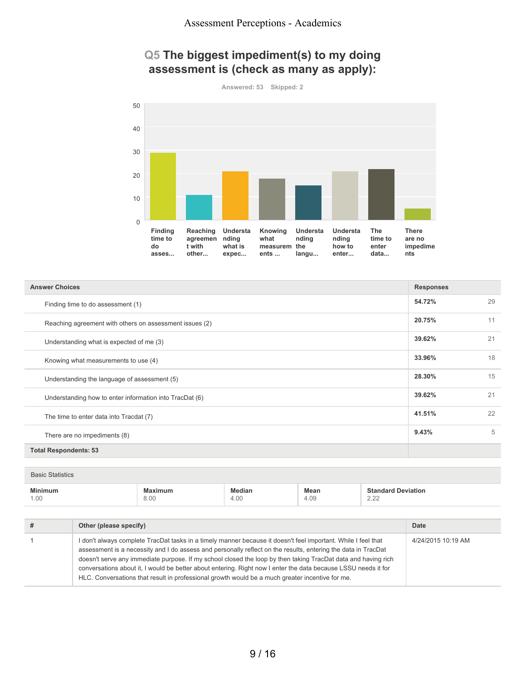# **Q5 The biggest impediment(s) to my doing assessment is (check as many as apply):**

**Answered: 53 Skipped: 2**



| <b>Answer Choices</b>                                   | <b>Responses</b> |    |
|---------------------------------------------------------|------------------|----|
| Finding time to do assessment (1)                       | 54.72%           | 29 |
| Reaching agreement with others on assessment issues (2) | 20.75%           | 11 |
| Understanding what is expected of me (3)                | 39.62%           | 21 |
| Knowing what measurements to use (4)                    | 33.96%           | 18 |
| Understanding the language of assessment (5)            | 28.30%           | 15 |
| Understanding how to enter information into TracDat (6) | 39.62%           | 21 |
| The time to enter data into Tracdat (7)                 | 41.51%           | 22 |
| There are no impediments (8)                            | 9.43%            | 5  |
| <b>Total Respondents: 53</b>                            |                  |    |

| <b>Minimum</b> | $\sim$<br>vlaximum | ledian | <b>Mean</b>    | . .<br>$040 -$<br>' Deviation<br>ndard |
|----------------|--------------------|--------|----------------|----------------------------------------|
| 1.00<br>____   | 0.00<br>ö.UU<br>.  | 4.00   | $\sim$<br>4.US | $\sim$ $\sim$<br>$-\cdot -$            |

| # | Other (please specify)                                                                                                                                                                                                                                                                                                                                                                                                                                                                                                                                               | Date               |
|---|----------------------------------------------------------------------------------------------------------------------------------------------------------------------------------------------------------------------------------------------------------------------------------------------------------------------------------------------------------------------------------------------------------------------------------------------------------------------------------------------------------------------------------------------------------------------|--------------------|
|   | I don't always complete TracDat tasks in a timely manner because it doesn't feel important. While I feel that<br>assessment is a necessity and I do assess and personally reflect on the results, entering the data in TracDat<br>doesn't serve any immediate purpose. If my school closed the loop by then taking TracDat data and having rich<br>conversations about it, I would be better about entering. Right now I enter the data because LSSU needs it for<br>HLC. Conversations that result in professional growth would be a much greater incentive for me. | 4/24/2015 10:19 AM |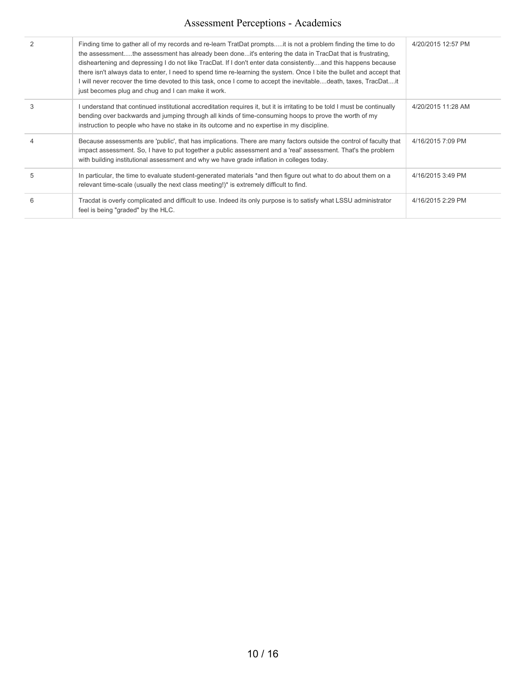|   | Finding time to gather all of my records and re-learn TratDat promptsit is not a problem finding the time to do<br>the assessmentthe assessment has already been doneit's entering the data in TracDat that is frustrating,<br>disheartening and depressing I do not like TracDat. If I don't enter data consistentlyand this happens because<br>there isn't always data to enter, I need to spend time re-learning the system. Once I bite the bullet and accept that<br>I will never recover the time devoted to this task, once I come to accept the inevitabledeath, taxes, TracDatit<br>just becomes plug and chug and I can make it work. | 4/20/2015 12:57 PM |
|---|-------------------------------------------------------------------------------------------------------------------------------------------------------------------------------------------------------------------------------------------------------------------------------------------------------------------------------------------------------------------------------------------------------------------------------------------------------------------------------------------------------------------------------------------------------------------------------------------------------------------------------------------------|--------------------|
| 3 | I understand that continued institutional accreditation requires it, but it is irritating to be told I must be continually<br>bending over backwards and jumping through all kinds of time-consuming hoops to prove the worth of my<br>instruction to people who have no stake in its outcome and no expertise in my discipline.                                                                                                                                                                                                                                                                                                                | 4/20/2015 11:28 AM |
| 4 | Because assessments are 'public', that has implications. There are many factors outside the control of faculty that<br>impact assessment. So, I have to put together a public assessment and a 'real' assessment. That's the problem<br>with building institutional assessment and why we have grade inflation in colleges today.                                                                                                                                                                                                                                                                                                               | 4/16/2015 7:09 PM  |
| 5 | In particular, the time to evaluate student-generated materials *and then figure out what to do about them on a<br>relevant time-scale (usually the next class meeting!)* is extremely difficult to find.                                                                                                                                                                                                                                                                                                                                                                                                                                       | 4/16/2015 3:49 PM  |
| 6 | Tracdat is overly complicated and difficult to use. Indeed its only purpose is to satisfy what LSSU administrator<br>feel is being "graded" by the HLC.                                                                                                                                                                                                                                                                                                                                                                                                                                                                                         | 4/16/2015 2:29 PM  |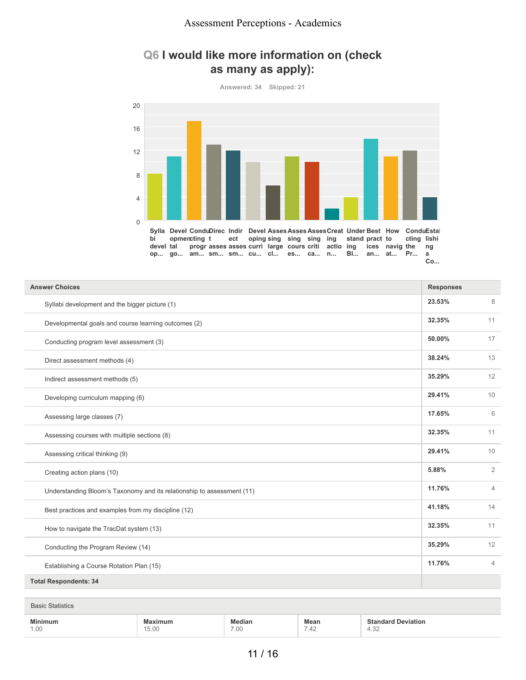## **Q6 I would like more information on (check as many as apply):**

**Answered: 34 Skipped: 21**



| <b>Answer Choices</b>                                                  | <b>Responses</b> |                |
|------------------------------------------------------------------------|------------------|----------------|
| Syllabi development and the bigger picture (1)                         | 23.53%           | $\,8\,$        |
| Developmental goals and course learning outcomes (2)                   | 32.35%           | 11             |
| Conducting program level assessment (3)                                | 50.00%           | 17             |
| Direct assessment methods (4)                                          | 38.24%           | 13             |
| Indirect assessment methods (5)                                        | 35.29%           | 12             |
| Developing curriculum mapping (6)                                      | 29.41%           | 10             |
| Assessing large classes (7)                                            | 17.65%           | 6              |
| Assessing courses with multiple sections (8)                           | 32.35%           | 11             |
| Assessing critical thinking (9)                                        | 29.41%           | 10             |
| Creating action plans (10)                                             | 5.88%            | $\overline{2}$ |
| Understanding Bloom's Taxonomy and its relationship to assessment (11) | 11.76%           | $\overline{4}$ |
| Best practices and examples from my discipline (12)                    | 41.18%           | 14             |
| How to navigate the TracDat system (13)                                | 32.35%           | 11             |
| Conducting the Program Review (14)                                     | 35.29%           | 12             |
| Establishing a Course Rotation Plan (15)                               | 11.76%           | $\overline{4}$ |
| <b>Total Respondents: 34</b>                                           |                  |                |

| <b>BA:</b><br>the contract of the contract of the contract of the contract of the contract of | the contract of the contract of the contract of the contract of the contract of |      | Mean                                                    |                     |
|-----------------------------------------------------------------------------------------------|---------------------------------------------------------------------------------|------|---------------------------------------------------------|---------------------|
| 1.00                                                                                          | $\sim$<br>$\overline{\phantom{a}}$<br>O.UU                                      | 7.00 | $\overline{\phantom{a}}$<br>$\Lambda$ $\Gamma$<br>. .42 | $\sim$<br>⊶<br>→.∪∠ |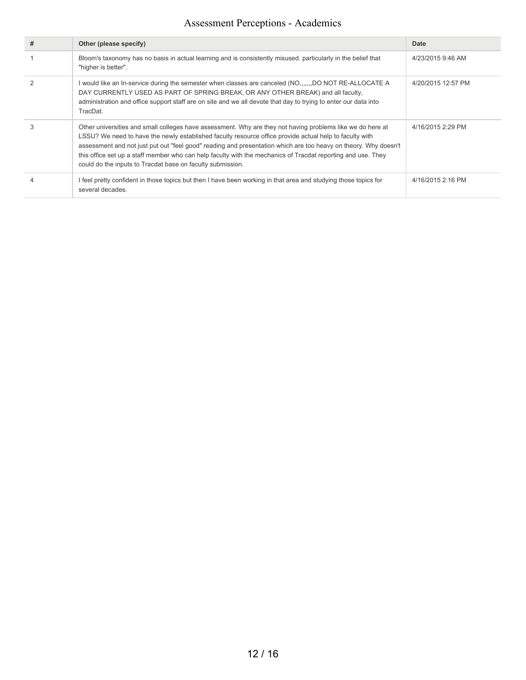| # | Other (please specify)                                                                                                                                                                                                                                                                                                                                                                                                                                                                                                 | Date               |
|---|------------------------------------------------------------------------------------------------------------------------------------------------------------------------------------------------------------------------------------------------------------------------------------------------------------------------------------------------------------------------------------------------------------------------------------------------------------------------------------------------------------------------|--------------------|
|   | Bloom's taxonomy has no basis in actual learning and is consistently misused, particularly in the belief that<br>"higher is better".                                                                                                                                                                                                                                                                                                                                                                                   | 4/23/2015 9:46 AM  |
|   | I would like an In-service during the semester when classes are canceled (NO,,,,,,,DO NOT RE-ALLOCATE A<br>DAY CURRENTLY USED AS PART OF SPRING BREAK, OR ANY OTHER BREAK) and all faculty,<br>administration and office support staff are on site and we all devote that day to trying to enter our data into<br>TracDat.                                                                                                                                                                                             | 4/20/2015 12:57 PM |
|   | Other universities and small colleges have assessment. Why are they not having problems like we do here at<br>LSSU? We need to have the newly established faculty resource office provide actual help to faculty with<br>assessment and not just put out "feel good" reading and presentation which are too heavy on theory. Why doesn't<br>this office set up a staff member who can help faculty with the mechanics of Tracdat reporting and use. They<br>could do the inputs to Tracdat base on faculty submission. | 4/16/2015 2:29 PM  |
|   | I feel pretty confident in those topics but then I have been working in that area and studying those topics for<br>several decades.                                                                                                                                                                                                                                                                                                                                                                                    | 4/16/2015 2:16 PM  |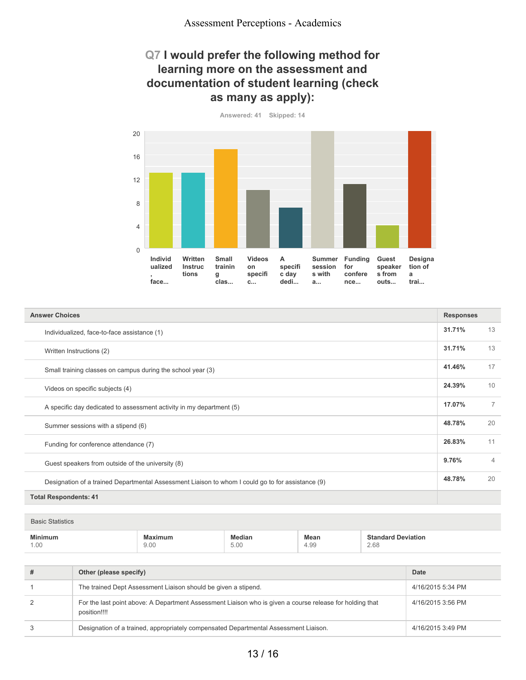## **Q7 I would prefer the following method for learning more on the assessment and documentation of student learning (check as many as apply):**

**Answered: 41 Skipped: 14**

**Individ ualized , face... Written Instruc tions Small trainin g clas... Videos on specifi c... A specifi c day dedi... Summer Funding session for s with a... confere nce... Guest speaker s from outs... Designa tion of a trai...** 0 4 8 12 16 20

| <b>Answer Choices</b>                                                                             |        |                |
|---------------------------------------------------------------------------------------------------|--------|----------------|
| Individualized, face-to-face assistance (1)                                                       | 31.71% | 13             |
| Written Instructions (2)                                                                          | 31.71% | 13             |
| Small training classes on campus during the school year (3)                                       | 41.46% | 17             |
| Videos on specific subjects (4)                                                                   | 24.39% | 10             |
| A specific day dedicated to assessment activity in my department (5)                              | 17.07% | $\overline{7}$ |
| Summer sessions with a stipend (6)                                                                | 48.78% | 20             |
| Funding for conference attendance (7)                                                             | 26.83% | 11             |
| Guest speakers from outside of the university (8)                                                 | 9.76%  | $\overline{4}$ |
| Designation of a trained Departmental Assessment Liaison to whom I could go to for assistance (9) | 48.78% | 20             |
| <b>Total Respondents: 41</b>                                                                      |        |                |

| <b>Basic Statistics</b> |                 |                       |              |                                   |
|-------------------------|-----------------|-----------------------|--------------|-----------------------------------|
| <b>Minimum</b><br>1.00  | Maximum<br>9.00 | Median<br>5.00<br>. . | Mean<br>4.99 | <b>Standard Deviation</b><br>2.68 |

| # | Other (please specify)                                                                                                   | Date              |
|---|--------------------------------------------------------------------------------------------------------------------------|-------------------|
|   | The trained Dept Assessment Liaison should be given a stipend.                                                           | 4/16/2015 5:34 PM |
| 2 | For the last point above: A Department Assessment Liaison who is given a course release for holding that<br>position!!!! | 4/16/2015 3:56 PM |
| 3 | Designation of a trained, appropriately compensated Departmental Assessment Liaison.                                     | 4/16/2015 3:49 PM |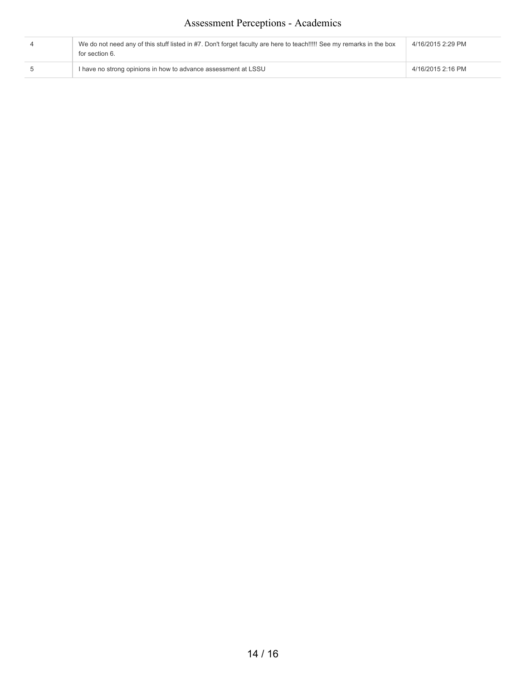| We do not need any of this stuff listed in #7. Don't forget faculty are here to teach!!!!! See my remarks in the box<br>for section 6. | 4/16/2015 2:29 PM |
|----------------------------------------------------------------------------------------------------------------------------------------|-------------------|
| I have no strong opinions in how to advance assessment at LSSU                                                                         | 4/16/2015 2:16 PM |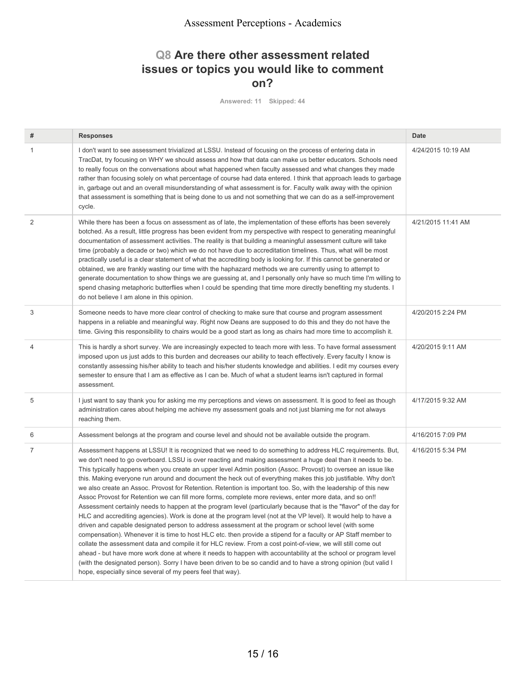## **Q8 Are there other assessment related issues or topics you would like to comment on?**

**Answered: 11 Skipped: 44**

| # | <b>Responses</b>                                                                                                                                                                                                                                                                                                                                                                                                                                                                                                                                                                                                                                                                                                                                                                                                                                                                                                                                                                                                                                                                                                                                                                                                                                                                                                                                                                                                                                                                                                                                                                     | <b>Date</b>        |
|---|--------------------------------------------------------------------------------------------------------------------------------------------------------------------------------------------------------------------------------------------------------------------------------------------------------------------------------------------------------------------------------------------------------------------------------------------------------------------------------------------------------------------------------------------------------------------------------------------------------------------------------------------------------------------------------------------------------------------------------------------------------------------------------------------------------------------------------------------------------------------------------------------------------------------------------------------------------------------------------------------------------------------------------------------------------------------------------------------------------------------------------------------------------------------------------------------------------------------------------------------------------------------------------------------------------------------------------------------------------------------------------------------------------------------------------------------------------------------------------------------------------------------------------------------------------------------------------------|--------------------|
| 1 | I don't want to see assessment trivialized at LSSU. Instead of focusing on the process of entering data in<br>TracDat, try focusing on WHY we should assess and how that data can make us better educators. Schools need<br>to really focus on the conversations about what happened when faculty assessed and what changes they made<br>rather than focusing solely on what percentage of course had data entered. I think that approach leads to garbage<br>in, garbage out and an overall misunderstanding of what assessment is for. Faculty walk away with the opinion<br>that assessment is something that is being done to us and not something that we can do as a self-improvement<br>cycle.                                                                                                                                                                                                                                                                                                                                                                                                                                                                                                                                                                                                                                                                                                                                                                                                                                                                                | 4/24/2015 10:19 AM |
| 2 | While there has been a focus on assessment as of late, the implementation of these efforts has been severely<br>botched. As a result, little progress has been evident from my perspective with respect to generating meaningful<br>documentation of assessment activities. The reality is that building a meaningful assessment culture will take<br>time (probably a decade or two) which we do not have due to accreditation timelines. Thus, what will be most<br>practically useful is a clear statement of what the accrediting body is looking for. If this cannot be generated or<br>obtained, we are frankly wasting our time with the haphazard methods we are currently using to attempt to<br>generate documentation to show things we are guessing at, and I personally only have so much time I'm willing to<br>spend chasing metaphoric butterflies when I could be spending that time more directly benefiting my students. I<br>do not believe I am alone in this opinion.                                                                                                                                                                                                                                                                                                                                                                                                                                                                                                                                                                                          | 4/21/2015 11:41 AM |
| 3 | Someone needs to have more clear control of checking to make sure that course and program assessment<br>happens in a reliable and meaningful way. Right now Deans are supposed to do this and they do not have the<br>time. Giving this responsibility to chairs would be a good start as long as chairs had more time to accomplish it.                                                                                                                                                                                                                                                                                                                                                                                                                                                                                                                                                                                                                                                                                                                                                                                                                                                                                                                                                                                                                                                                                                                                                                                                                                             | 4/20/2015 2:24 PM  |
| 4 | This is hardly a short survey. We are increasingly expected to teach more with less. To have formal assessment<br>imposed upon us just adds to this burden and decreases our ability to teach effectively. Every faculty I know is<br>constantly assessing his/her ability to teach and his/her students knowledge and abilities. I edit my courses every<br>semester to ensure that I am as effective as I can be. Much of what a student learns isn't captured in formal<br>assessment.                                                                                                                                                                                                                                                                                                                                                                                                                                                                                                                                                                                                                                                                                                                                                                                                                                                                                                                                                                                                                                                                                            | 4/20/2015 9:11 AM  |
| 5 | I just want to say thank you for asking me my perceptions and views on assessment. It is good to feel as though<br>administration cares about helping me achieve my assessment goals and not just blaming me for not always<br>reaching them.                                                                                                                                                                                                                                                                                                                                                                                                                                                                                                                                                                                                                                                                                                                                                                                                                                                                                                                                                                                                                                                                                                                                                                                                                                                                                                                                        | 4/17/2015 9:32 AM  |
| 6 | Assessment belongs at the program and course level and should not be available outside the program.                                                                                                                                                                                                                                                                                                                                                                                                                                                                                                                                                                                                                                                                                                                                                                                                                                                                                                                                                                                                                                                                                                                                                                                                                                                                                                                                                                                                                                                                                  | 4/16/2015 7:09 PM  |
| 7 | Assessment happens at LSSU! It is recognized that we need to do something to address HLC requirements. But,<br>we don't need to go overboard. LSSU is over reacting and making assessment a huge deal than it needs to be.<br>This typically happens when you create an upper level Admin position (Assoc. Provost) to oversee an issue like<br>this. Making everyone run around and document the heck out of everything makes this job justifiable. Why don't<br>we also create an Assoc. Provost for Retention. Retention is important too. So, with the leadership of this new<br>Assoc Provost for Retention we can fill more forms, complete more reviews, enter more data, and so on!!<br>Assessment certainly needs to happen at the program level (particularly because that is the "flavor" of the day for<br>HLC and accrediting agencies). Work is done at the program level (not at the VP level). It would help to have a<br>driven and capable designated person to address assessment at the program or school level (with some<br>compensation). Whenever it is time to host HLC etc. then provide a stipend for a faculty or AP Staff member to<br>collate the assessment data and compile it for HLC review. From a cost point-of-view, we will still come out<br>ahead - but have more work done at where it needs to happen with accountability at the school or program level<br>(with the designated person). Sorry I have been driven to be so candid and to have a strong opinion (but valid I<br>hope, especially since several of my peers feel that way). | 4/16/2015 5:34 PM  |